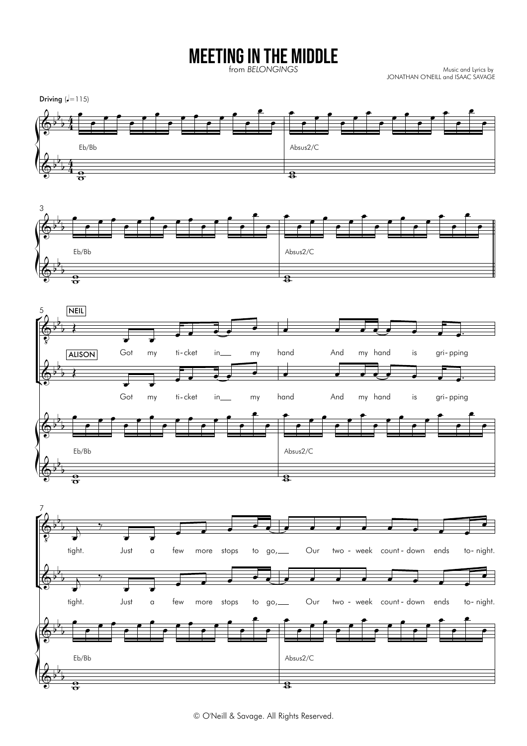**MEETING IN THE MIDDLE** 

from *BELONGINGS* Music and Lyrics by JONATHAN O'NEILL and ISAAC SAVAGE







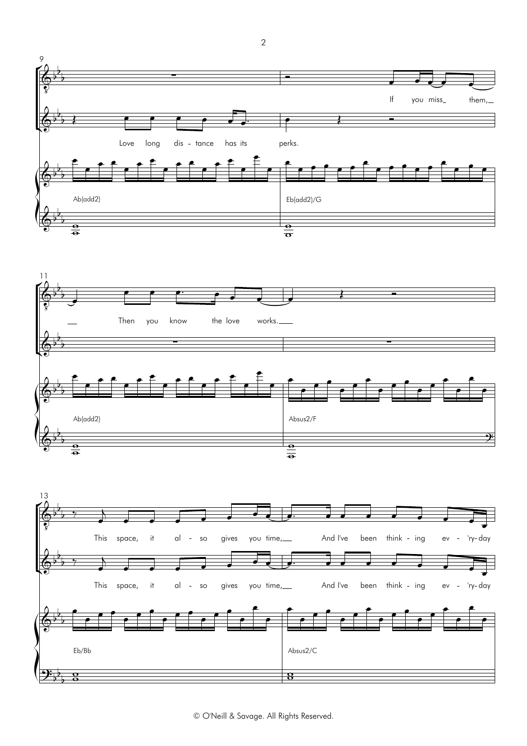



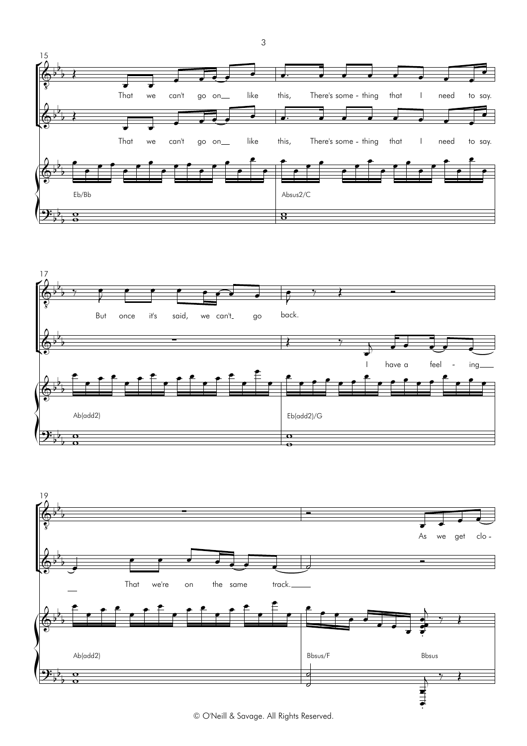



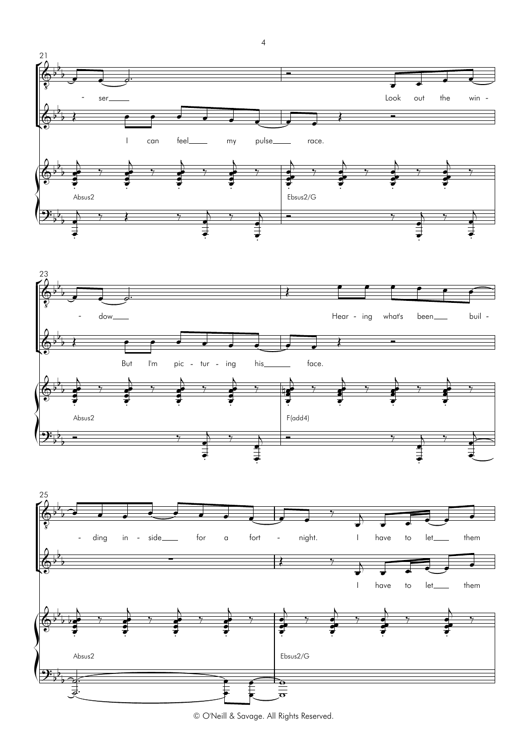

© O'Neill & Savage. All Rights Reserved.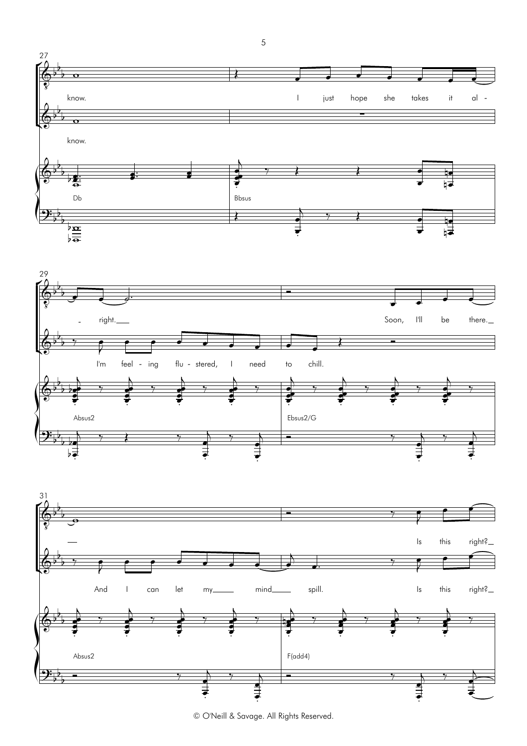

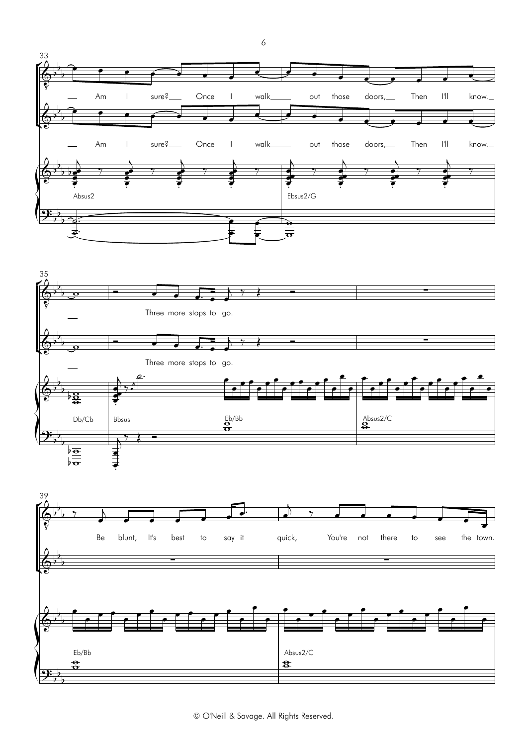



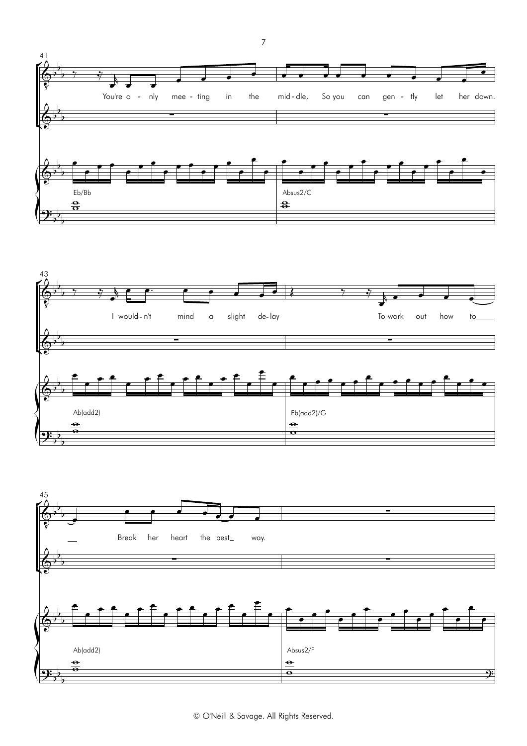



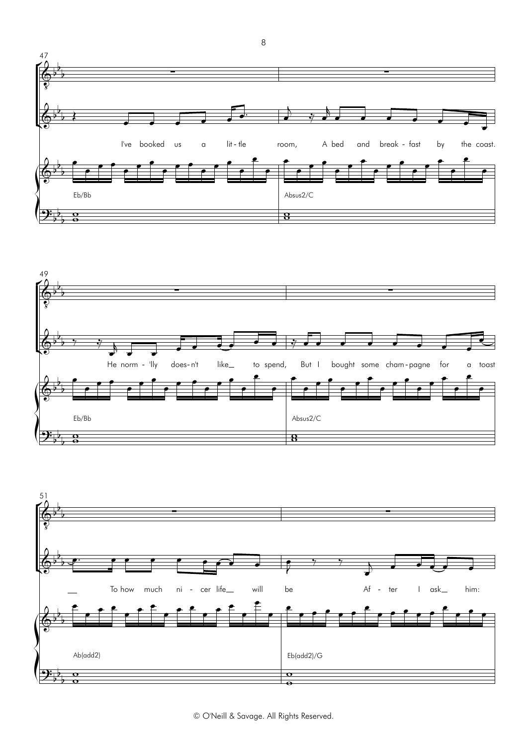



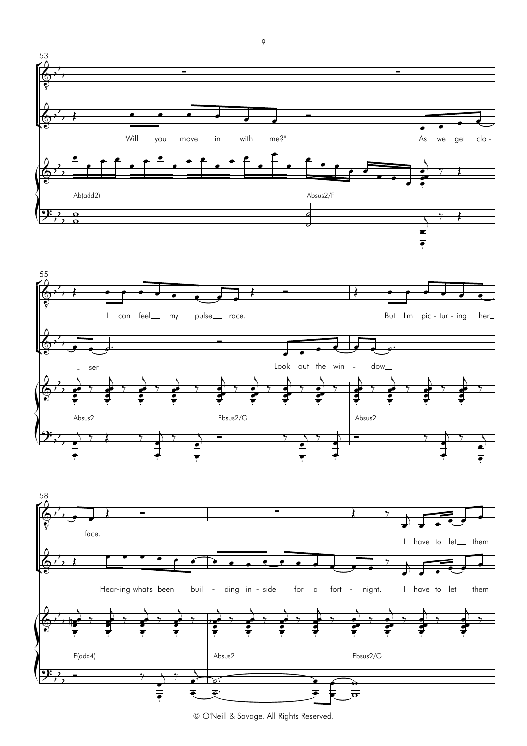



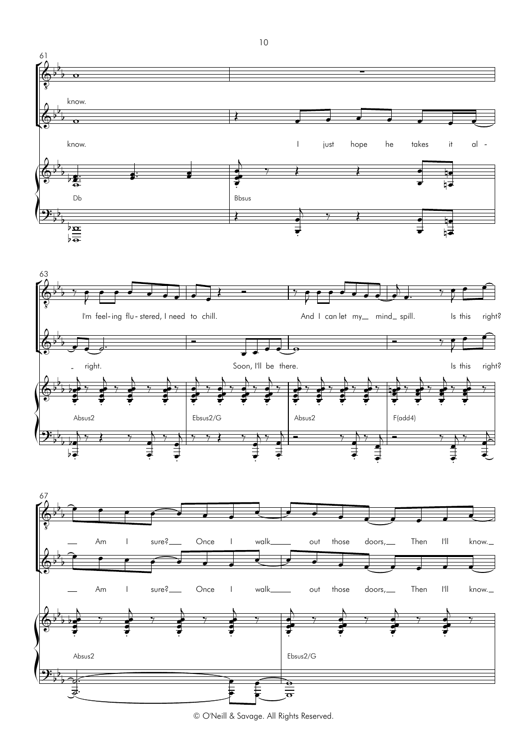

<sup>©</sup> O'Neill & Savage. All Rights Reserved.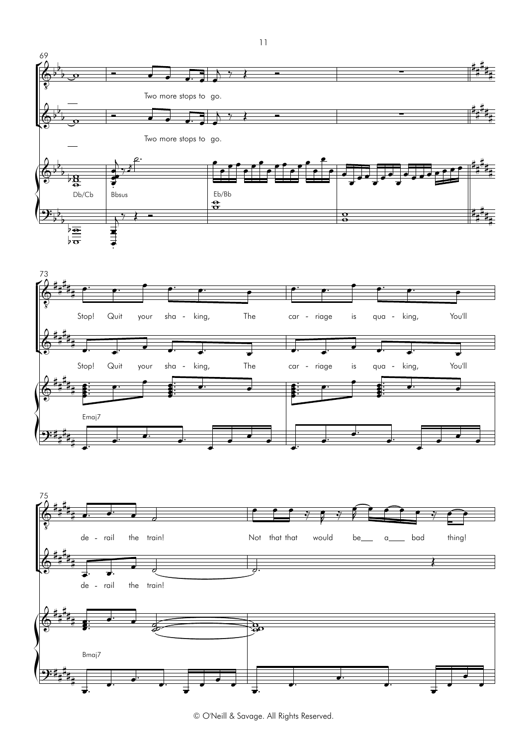![](_page_10_Figure_0.jpeg)

![](_page_10_Figure_1.jpeg)

![](_page_10_Figure_2.jpeg)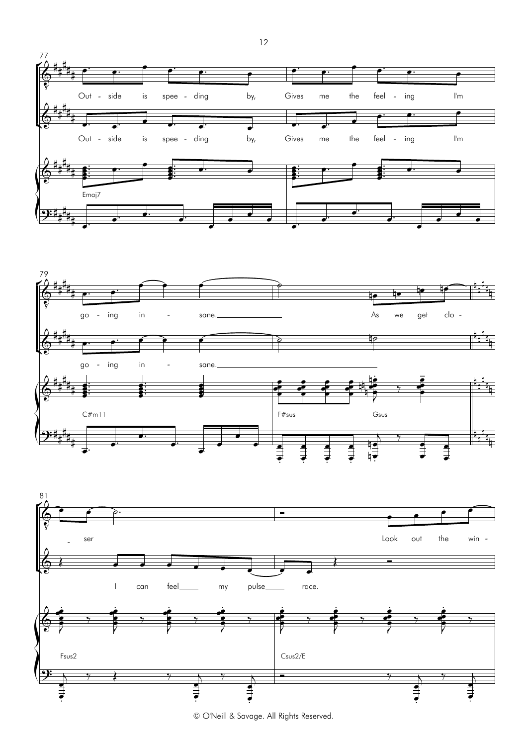![](_page_11_Figure_0.jpeg)

![](_page_11_Figure_1.jpeg)

![](_page_11_Figure_2.jpeg)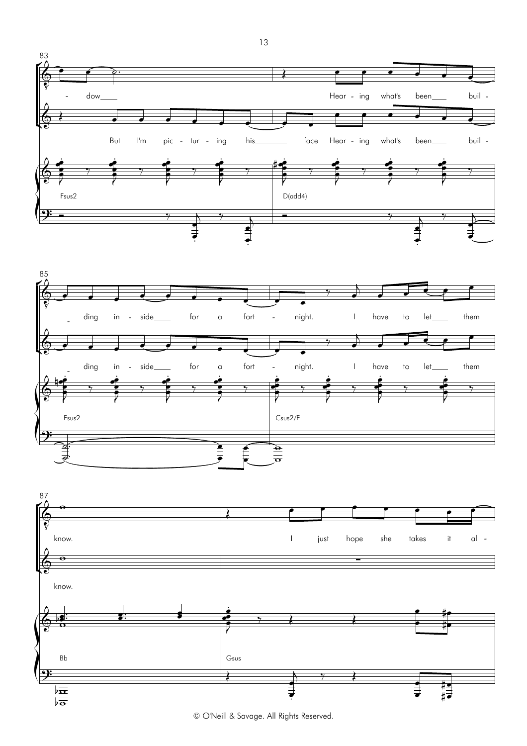![](_page_12_Figure_0.jpeg)

![](_page_12_Figure_1.jpeg)

![](_page_12_Figure_2.jpeg)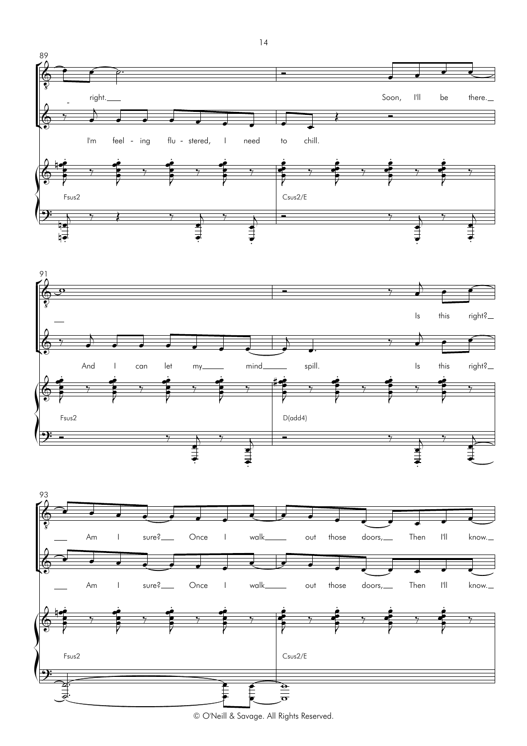![](_page_13_Figure_0.jpeg)

© O'Neill & Savage. All Rights Reserved.

 $\frac{1}{\sigma}$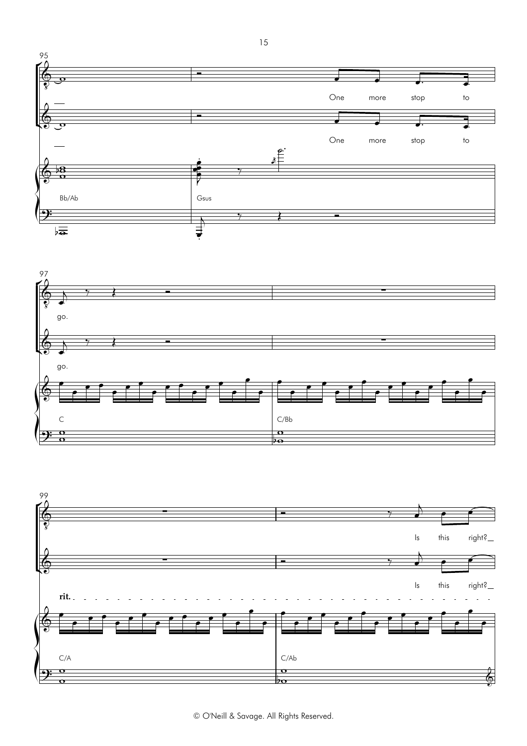![](_page_14_Figure_0.jpeg)

![](_page_14_Figure_1.jpeg)

![](_page_14_Figure_2.jpeg)